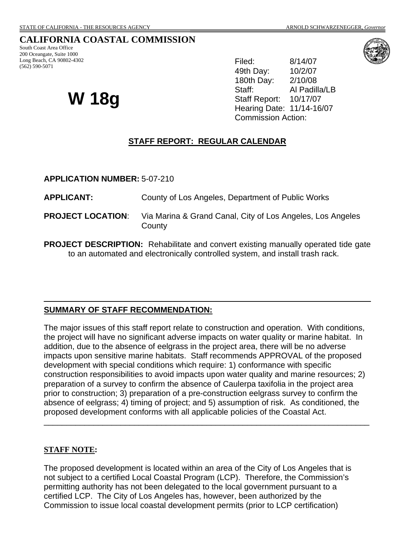# **CALIFORNIA COASTAL COMMISSION**

South Coast Area Office 200 Oceangate, Suite 1000 Long Beach, CA 90802-4302 (562) 590-5071

# **W 18g**

Filed: 8/14/07 49th Day: 10/2/07 180th Day: 2/10/08 Staff: Al Padilla/LB Staff Report: 10/17/07 Hearing Date: 11/14-16/07 Commission Action:

#### **STAFF REPORT: REGULAR CALENDAR**

**APPLICATION NUMBER:** 5-07-210

**APPLICANT:** County of Los Angeles, Department of Public Works

- **PROJECT LOCATION:** Via Marina & Grand Canal, City of Los Angeles, Los Angeles **County**
- **PROJECT DESCRIPTION:** Rehabilitate and convert existing manually operated tide gate to an automated and electronically controlled system, and install trash rack.

#### **SUMMARY OF STAFF RECOMMENDATION:**

The major issues of this staff report relate to construction and operation. With conditions, the project will have no significant adverse impacts on water quality or marine habitat. In addition, due to the absence of eelgrass in the project area, there will be no adverse impacts upon sensitive marine habitats. Staff recommends APPROVAL of the proposed development with special conditions which require: 1) conformance with specific construction responsibilities to avoid impacts upon water quality and marine resources; 2) preparation of a survey to confirm the absence of Caulerpa taxifolia in the project area prior to construction; 3) preparation of a pre-construction eelgrass survey to confirm the absence of eelgrass; 4) timing of project; and 5) assumption of risk. As conditioned, the proposed development conforms with all applicable policies of the Coastal Act.

\_\_\_\_\_\_\_\_\_\_\_\_\_\_\_\_\_\_\_\_\_\_\_\_\_\_\_\_\_\_\_\_\_\_\_\_\_\_\_\_\_\_\_\_\_\_\_\_\_\_\_\_\_\_\_\_\_\_\_\_\_\_\_\_\_\_\_\_\_\_\_\_

#### **STAFF NOTE:**

The proposed development is located within an area of the City of Los Angeles that is not subject to a certified Local Coastal Program (LCP). Therefore, the Commission's permitting authority has not been delegated to the local government pursuant to a certified LCP. The City of Los Angeles has, however, been authorized by the Commission to issue local coastal development permits (prior to LCP certification)

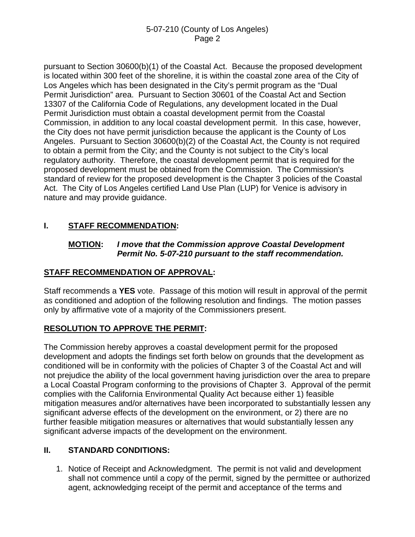pursuant to Section 30600(b)(1) of the Coastal Act. Because the proposed development is located within 300 feet of the shoreline, it is within the coastal zone area of the City of Los Angeles which has been designated in the City's permit program as the "Dual Permit Jurisdiction" area. Pursuant to Section 30601 of the Coastal Act and Section 13307 of the California Code of Regulations, any development located in the Dual Permit Jurisdiction must obtain a coastal development permit from the Coastal Commission, in addition to any local coastal development permit. In this case, however, the City does not have permit jurisdiction because the applicant is the County of Los Angeles. Pursuant to Section 30600(b)(2) of the Coastal Act, the County is not required to obtain a permit from the City; and the County is not subject to the City's local regulatory authority. Therefore, the coastal development permit that is required for the proposed development must be obtained from the Commission. The Commission's standard of review for the proposed development is the Chapter 3 policies of the Coastal Act. The City of Los Angeles certified Land Use Plan (LUP) for Venice is advisory in nature and may provide guidance.

# **I. STAFF RECOMMENDATION:**

#### **MOTION:** *I move that the Commission approve Coastal Development Permit No. 5-07-210 pursuant to the staff recommendation.*

# **STAFF RECOMMENDATION OF APPROVAL:**

Staff recommends a **YES** vote. Passage of this motion will result in approval of the permit as conditioned and adoption of the following resolution and findings. The motion passes only by affirmative vote of a majority of the Commissioners present.

# **RESOLUTION TO APPROVE THE PERMIT:**

The Commission hereby approves a coastal development permit for the proposed development and adopts the findings set forth below on grounds that the development as conditioned will be in conformity with the policies of Chapter 3 of the Coastal Act and will not prejudice the ability of the local government having jurisdiction over the area to prepare a Local Coastal Program conforming to the provisions of Chapter 3. Approval of the permit complies with the California Environmental Quality Act because either 1) feasible mitigation measures and/or alternatives have been incorporated to substantially lessen any significant adverse effects of the development on the environment, or 2) there are no further feasible mitigation measures or alternatives that would substantially lessen any significant adverse impacts of the development on the environment.

# **II. STANDARD CONDITIONS:**

1. Notice of Receipt and Acknowledgment. The permit is not valid and development shall not commence until a copy of the permit, signed by the permittee or authorized agent, acknowledging receipt of the permit and acceptance of the terms and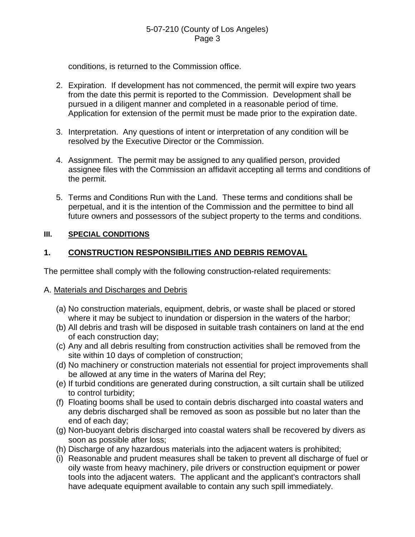conditions, is returned to the Commission office.

- 2. Expiration. If development has not commenced, the permit will expire two years from the date this permit is reported to the Commission. Development shall be pursued in a diligent manner and completed in a reasonable period of time. Application for extension of the permit must be made prior to the expiration date.
- 3. Interpretation. Any questions of intent or interpretation of any condition will be resolved by the Executive Director or the Commission.
- 4. Assignment. The permit may be assigned to any qualified person, provided assignee files with the Commission an affidavit accepting all terms and conditions of the permit.
- 5. Terms and Conditions Run with the Land. These terms and conditions shall be perpetual, and it is the intention of the Commission and the permittee to bind all future owners and possessors of the subject property to the terms and conditions.

# **III. SPECIAL CONDITIONS**

# **1. CONSTRUCTION RESPONSIBILITIES AND DEBRIS REMOVAL**

The permittee shall comply with the following construction-related requirements:

#### A. Materials and Discharges and Debris

- (a) No construction materials, equipment, debris, or waste shall be placed or stored where it may be subject to inundation or dispersion in the waters of the harbor;
- (b) All debris and trash will be disposed in suitable trash containers on land at the end of each construction day;
- (c) Any and all debris resulting from construction activities shall be removed from the site within 10 days of completion of construction;
- (d) No machinery or construction materials not essential for project improvements shall be allowed at any time in the waters of Marina del Rey;
- (e) If turbid conditions are generated during construction, a silt curtain shall be utilized to control turbidity;
- (f) Floating booms shall be used to contain debris discharged into coastal waters and any debris discharged shall be removed as soon as possible but no later than the end of each day;
- (g) Non-buoyant debris discharged into coastal waters shall be recovered by divers as soon as possible after loss;
- (h) Discharge of any hazardous materials into the adjacent waters is prohibited;
- (i) Reasonable and prudent measures shall be taken to prevent all discharge of fuel or oily waste from heavy machinery, pile drivers or construction equipment or power tools into the adjacent waters. The applicant and the applicant's contractors shall have adequate equipment available to contain any such spill immediately.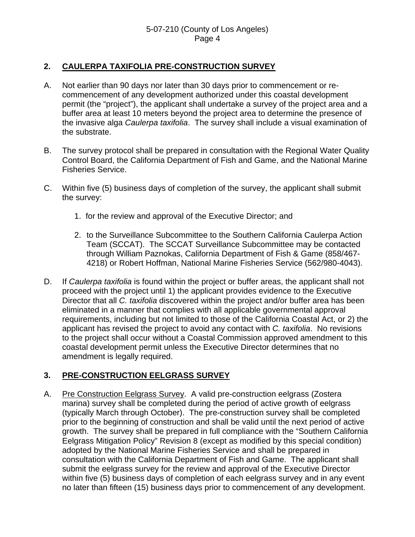### **2. CAULERPA TAXIFOLIA PRE-CONSTRUCTION SURVEY**

- A. Not earlier than 90 days nor later than 30 days prior to commencement or recommencement of any development authorized under this coastal development permit (the "project"), the applicant shall undertake a survey of the project area and a buffer area at least 10 meters beyond the project area to determine the presence of the invasive alga *Caulerpa taxifolia*. The survey shall include a visual examination of the substrate.
- B. The survey protocol shall be prepared in consultation with the Regional Water Quality Control Board, the California Department of Fish and Game, and the National Marine Fisheries Service.
- C. Within five (5) business days of completion of the survey, the applicant shall submit the survey:
	- 1. for the review and approval of the Executive Director; and
	- 2. to the Surveillance Subcommittee to the Southern California Caulerpa Action Team (SCCAT). The SCCAT Surveillance Subcommittee may be contacted through William Paznokas, California Department of Fish & Game (858/467- 4218) or Robert Hoffman, National Marine Fisheries Service (562/980-4043).
- D. If *Caulerpa taxifolia* is found within the project or buffer areas, the applicant shall not proceed with the project until 1) the applicant provides evidence to the Executive Director that all *C. taxifolia* discovered within the project and/or buffer area has been eliminated in a manner that complies with all applicable governmental approval requirements, including but not limited to those of the California Coastal Act, or 2) the applicant has revised the project to avoid any contact with *C. taxifolia*. No revisions to the project shall occur without a Coastal Commission approved amendment to this coastal development permit unless the Executive Director determines that no amendment is legally required.

# **3. PRE-CONSTRUCTION EELGRASS SURVEY**

A. Pre Construction Eelgrass Survey. A valid pre-construction eelgrass (Zostera marina) survey shall be completed during the period of active growth of eelgrass (typically March through October). The pre-construction survey shall be completed prior to the beginning of construction and shall be valid until the next period of active growth. The survey shall be prepared in full compliance with the "Southern California Eelgrass Mitigation Policy" Revision 8 (except as modified by this special condition) adopted by the National Marine Fisheries Service and shall be prepared in consultation with the California Department of Fish and Game. The applicant shall submit the eelgrass survey for the review and approval of the Executive Director within five (5) business days of completion of each eelgrass survey and in any event no later than fifteen (15) business days prior to commencement of any development.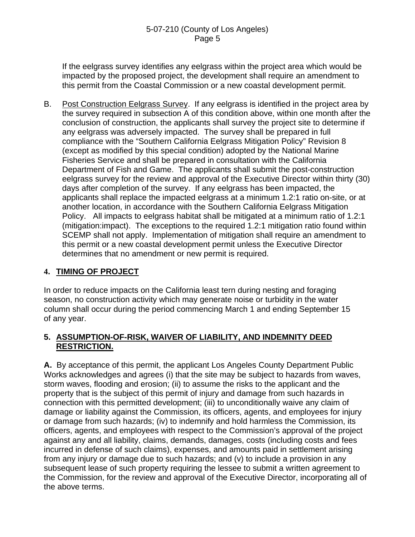If the eelgrass survey identifies any eelgrass within the project area which would be impacted by the proposed project, the development shall require an amendment to this permit from the Coastal Commission or a new coastal development permit.

B. Post Construction Eelgrass Survey. If any eelgrass is identified in the project area by the survey required in subsection A of this condition above, within one month after the conclusion of construction, the applicants shall survey the project site to determine if any eelgrass was adversely impacted. The survey shall be prepared in full compliance with the "Southern California Eelgrass Mitigation Policy" Revision 8 (except as modified by this special condition) adopted by the National Marine Fisheries Service and shall be prepared in consultation with the California Department of Fish and Game. The applicants shall submit the post-construction eelgrass survey for the review and approval of the Executive Director within thirty (30) days after completion of the survey. If any eelgrass has been impacted, the applicants shall replace the impacted eelgrass at a minimum 1.2:1 ratio on-site, or at another location, in accordance with the Southern California Eelgrass Mitigation Policy. All impacts to eelgrass habitat shall be mitigated at a minimum ratio of 1.2:1 (mitigation:impact). The exceptions to the required 1.2:1 mitigation ratio found within SCEMP shall not apply. Implementation of mitigation shall require an amendment to this permit or a new coastal development permit unless the Executive Director determines that no amendment or new permit is required.

# **4. TIMING OF PROJECT**

In order to reduce impacts on the California least tern during nesting and foraging season, no construction activity which may generate noise or turbidity in the water column shall occur during the period commencing March 1 and ending September 15 of any year.

#### **5. ASSUMPTION-OF-RISK, WAIVER OF LIABILITY, AND INDEMNITY DEED RESTRICTION.**

**A.** By acceptance of this permit, the applicant Los Angeles County Department Public Works acknowledges and agrees (i) that the site may be subject to hazards from waves, storm waves, flooding and erosion; (ii) to assume the risks to the applicant and the property that is the subject of this permit of injury and damage from such hazards in connection with this permitted development; (iii) to unconditionally waive any claim of damage or liability against the Commission, its officers, agents, and employees for injury or damage from such hazards; (iv) to indemnify and hold harmless the Commission, its officers, agents, and employees with respect to the Commission's approval of the project against any and all liability, claims, demands, damages, costs (including costs and fees incurred in defense of such claims), expenses, and amounts paid in settlement arising from any injury or damage due to such hazards; and (v) to include a provision in any subsequent lease of such property requiring the lessee to submit a written agreement to the Commission, for the review and approval of the Executive Director, incorporating all of the above terms.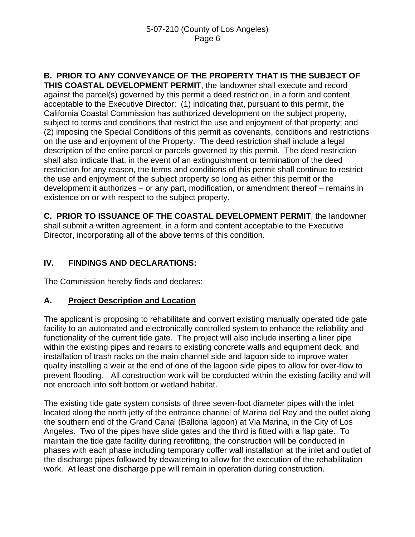# **B. PRIOR TO ANY CONVEYANCE OF THE PROPERTY THAT IS THE SUBJECT OF**

**THIS COASTAL DEVELOPMENT PERMIT**, the landowner shall execute and record against the parcel(s) governed by this permit a deed restriction, in a form and content acceptable to the Executive Director: (1) indicating that, pursuant to this permit, the California Coastal Commission has authorized development on the subject property, subject to terms and conditions that restrict the use and enjoyment of that property; and (2) imposing the Special Conditions of this permit as covenants, conditions and restrictions on the use and enjoyment of the Property. The deed restriction shall include a legal description of the entire parcel or parcels governed by this permit. The deed restriction shall also indicate that, in the event of an extinguishment or termination of the deed restriction for any reason, the terms and conditions of this permit shall continue to restrict the use and enjoyment of the subject property so long as either this permit or the development it authorizes – or any part, modification, or amendment thereof – remains in existence on or with respect to the subject property.

**C. PRIOR TO ISSUANCE OF THE COASTAL DEVELOPMENT PERMIT**, the landowner shall submit a written agreement, in a form and content acceptable to the Executive Director, incorporating all of the above terms of this condition.

# **IV. FINDINGS AND DECLARATIONS:**

The Commission hereby finds and declares:

# **A. Project Description and Location**

The applicant is proposing to rehabilitate and convert existing manually operated tide gate facility to an automated and electronically controlled system to enhance the reliability and functionality of the current tide gate. The project will also include inserting a liner pipe within the existing pipes and repairs to existing concrete walls and equipment deck, and installation of trash racks on the main channel side and lagoon side to improve water quality installing a weir at the end of one of the lagoon side pipes to allow for over-flow to prevent flooding. All construction work will be conducted within the existing facility and will not encroach into soft bottom or wetland habitat.

The existing tide gate system consists of three seven-foot diameter pipes with the inlet located along the north jetty of the entrance channel of Marina del Rey and the outlet along the southern end of the Grand Canal (Ballona lagoon) at Via Marina, in the City of Los Angeles. Two of the pipes have slide gates and the third is fitted with a flap gate. To maintain the tide gate facility during retrofitting, the construction will be conducted in phases with each phase including temporary coffer wall installation at the inlet and outlet of the discharge pipes followed by dewatering to allow for the execution of the rehabilitation work. At least one discharge pipe will remain in operation during construction.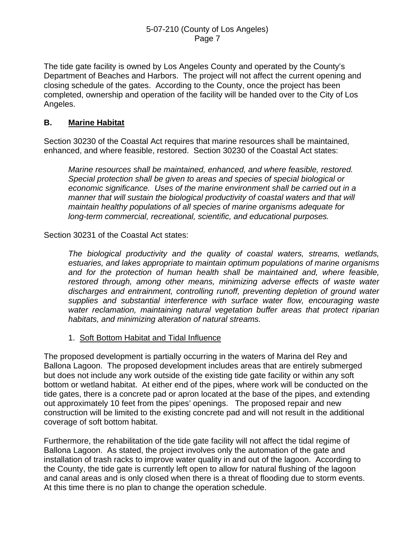The tide gate facility is owned by Los Angeles County and operated by the County's Department of Beaches and Harbors. The project will not affect the current opening and closing schedule of the gates. According to the County, once the project has been completed, ownership and operation of the facility will be handed over to the City of Los Angeles.

# **B. Marine Habitat**

Section 30230 of the Coastal Act requires that marine resources shall be maintained, enhanced, and where feasible, restored. Section 30230 of the Coastal Act states:

*Marine resources shall be maintained, enhanced, and where feasible, restored. Special protection shall be given to areas and species of special biological or economic significance. Uses of the marine environment shall be carried out in a manner that will sustain the biological productivity of coastal waters and that will maintain healthy populations of all species of marine organisms adequate for long-term commercial, recreational, scientific, and educational purposes.* 

Section 30231 of the Coastal Act states:

*The biological productivity and the quality of coastal waters, streams, wetlands, estuaries, and lakes appropriate to maintain optimum populations of marine organisms and for the protection of human health shall be maintained and, where feasible, restored through, among other means, minimizing adverse effects of waste water discharges and entrainment, controlling runoff, preventing depletion of ground water supplies and substantial interference with surface water flow, encouraging waste water reclamation, maintaining natural vegetation buffer areas that protect riparian habitats, and minimizing alteration of natural streams.* 

1. Soft Bottom Habitat and Tidal Influence

The proposed development is partially occurring in the waters of Marina del Rey and Ballona Lagoon. The proposed development includes areas that are entirely submerged but does not include any work outside of the existing tide gate facility or within any soft bottom or wetland habitat. At either end of the pipes, where work will be conducted on the tide gates, there is a concrete pad or apron located at the base of the pipes, and extending out approximately 10 feet from the pipes' openings. The proposed repair and new construction will be limited to the existing concrete pad and will not result in the additional coverage of soft bottom habitat.

Furthermore, the rehabilitation of the tide gate facility will not affect the tidal regime of Ballona Lagoon. As stated, the project involves only the automation of the gate and installation of trash racks to improve water quality in and out of the lagoon. According to the County, the tide gate is currently left open to allow for natural flushing of the lagoon and canal areas and is only closed when there is a threat of flooding due to storm events. At this time there is no plan to change the operation schedule.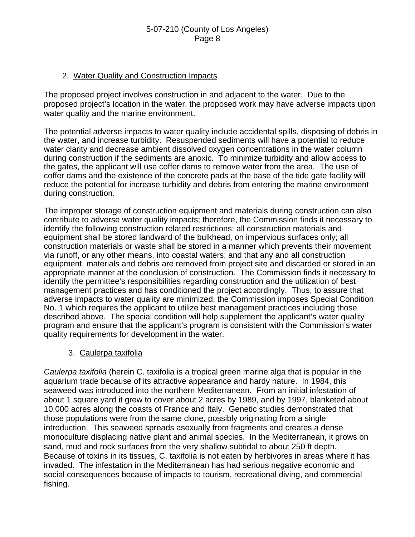#### 2. Water Quality and Construction Impacts

The proposed project involves construction in and adjacent to the water. Due to the proposed project's location in the water, the proposed work may have adverse impacts upon water quality and the marine environment.

The potential adverse impacts to water quality include accidental spills, disposing of debris in the water, and increase turbidity. Resuspended sediments will have a potential to reduce water clarity and decrease ambient dissolved oxygen concentrations in the water column during construction if the sediments are anoxic. To minimize turbidity and allow access to the gates, the applicant will use coffer dams to remove water from the area. The use of coffer dams and the existence of the concrete pads at the base of the tide gate facility will reduce the potential for increase turbidity and debris from entering the marine environment during construction.

The improper storage of construction equipment and materials during construction can also contribute to adverse water quality impacts; therefore, the Commission finds it necessary to identify the following construction related restrictions: all construction materials and equipment shall be stored landward of the bulkhead, on impervious surfaces only; all construction materials or waste shall be stored in a manner which prevents their movement via runoff, or any other means, into coastal waters; and that any and all construction equipment, materials and debris are removed from project site and discarded or stored in an appropriate manner at the conclusion of construction. The Commission finds it necessary to identify the permittee's responsibilities regarding construction and the utilization of best management practices and has conditioned the project accordingly. Thus, to assure that adverse impacts to water quality are minimized, the Commission imposes Special Condition No. 1 which requires the applicant to utilize best management practices including those described above. The special condition will help supplement the applicant's water quality program and ensure that the applicant's program is consistent with the Commission's water quality requirements for development in the water.

#### 3. Caulerpa taxifolia

*Caulerpa taxifolia* (herein C. taxifolia is a tropical green marine alga that is popular in the aquarium trade because of its attractive appearance and hardy nature. In 1984, this seaweed was introduced into the northern Mediterranean. From an initial infestation of about 1 square yard it grew to cover about 2 acres by 1989, and by 1997, blanketed about 10,000 acres along the coasts of France and Italy. Genetic studies demonstrated that those populations were from the same clone, possibly originating from a single introduction. This seaweed spreads asexually from fragments and creates a dense monoculture displacing native plant and animal species. In the Mediterranean, it grows on sand, mud and rock surfaces from the very shallow subtidal to about 250 ft depth. Because of toxins in its tissues, C. taxifolia is not eaten by herbivores in areas where it has invaded. The infestation in the Mediterranean has had serious negative economic and social consequences because of impacts to tourism, recreational diving, and commercial fishing.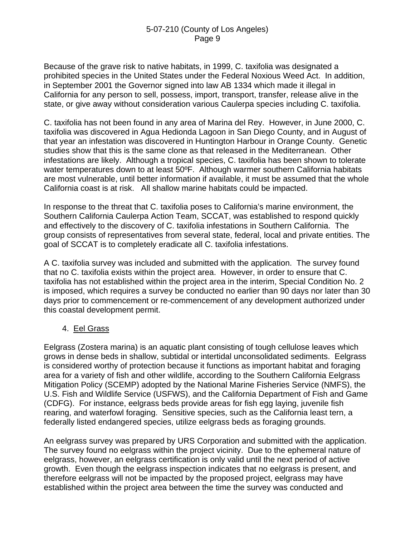Because of the grave risk to native habitats, in 1999, C. taxifolia was designated a prohibited species in the United States under the Federal Noxious Weed Act. In addition, in September 2001 the Governor signed into law AB 1334 which made it illegal in California for any person to sell, possess, import, transport, transfer, release alive in the state, or give away without consideration various Caulerpa species including C. taxifolia.

C. taxifolia has not been found in any area of Marina del Rey. However, in June 2000, C. taxifolia was discovered in Agua Hedionda Lagoon in San Diego County, and in August of that year an infestation was discovered in Huntington Harbour in Orange County. Genetic studies show that this is the same clone as that released in the Mediterranean. Other infestations are likely. Although a tropical species, C. taxifolia has been shown to tolerate water temperatures down to at least 50°F. Although warmer southern California habitats are most vulnerable, until better information if available, it must be assumed that the whole California coast is at risk. All shallow marine habitats could be impacted.

In response to the threat that C. taxifolia poses to California's marine environment, the Southern California Caulerpa Action Team, SCCAT, was established to respond quickly and effectively to the discovery of C. taxifolia infestations in Southern California. The group consists of representatives from several state, federal, local and private entities. The goal of SCCAT is to completely eradicate all C. taxifolia infestations.

A C. taxifolia survey was included and submitted with the application. The survey found that no C. taxifolia exists within the project area. However, in order to ensure that C. taxifolia has not established within the project area in the interim, Special Condition No. 2 is imposed, which requires a survey be conducted no earlier than 90 days nor later than 30 days prior to commencement or re-commencement of any development authorized under this coastal development permit.

# 4. Eel Grass

Eelgrass (Zostera marina) is an aquatic plant consisting of tough cellulose leaves which grows in dense beds in shallow, subtidal or intertidal unconsolidated sediments. Eelgrass is considered worthy of protection because it functions as important habitat and foraging area for a variety of fish and other wildlife, according to the Southern California Eelgrass Mitigation Policy (SCEMP) adopted by the National Marine Fisheries Service (NMFS), the U.S. Fish and Wildlife Service (USFWS), and the California Department of Fish and Game (CDFG). For instance, eelgrass beds provide areas for fish egg laying, juvenile fish rearing, and waterfowl foraging. Sensitive species, such as the California least tern, a federally listed endangered species, utilize eelgrass beds as foraging grounds.

An eelgrass survey was prepared by URS Corporation and submitted with the application. The survey found no eelgrass within the project vicinity. Due to the ephemeral nature of eelgrass, however, an eelgrass certification is only valid until the next period of active growth. Even though the eelgrass inspection indicates that no eelgrass is present, and therefore eelgrass will not be impacted by the proposed project, eelgrass may have established within the project area between the time the survey was conducted and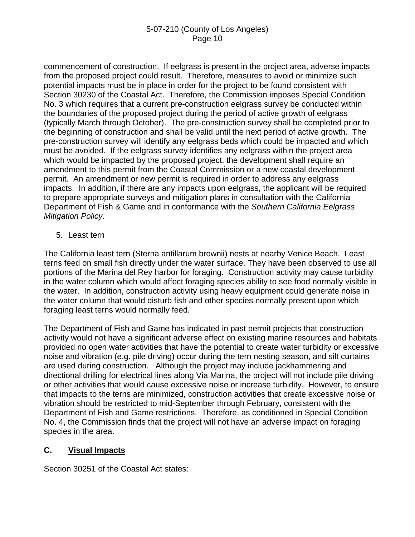commencement of construction. If eelgrass is present in the project area, adverse impacts from the proposed project could result. Therefore, measures to avoid or minimize such potential impacts must be in place in order for the project to be found consistent with Section 30230 of the Coastal Act. Therefore, the Commission imposes Special Condition No. 3 which requires that a current pre-construction eelgrass survey be conducted within the boundaries of the proposed project during the period of active growth of eelgrass (typically March through October). The pre-construction survey shall be completed prior to the beginning of construction and shall be valid until the next period of active growth. The pre-construction survey will identify any eelgrass beds which could be impacted and which must be avoided. If the eelgrass survey identifies any eelgrass within the project area which would be impacted by the proposed project, the development shall require an amendment to this permit from the Coastal Commission or a new coastal development permit. An amendment or new permit is required in order to address any eelgrass impacts. In addition, if there are any impacts upon eelgrass, the applicant will be required to prepare appropriate surveys and mitigation plans in consultation with the California Department of Fish & Game and in conformance with the *Southern California Eelgrass Mitigation Policy*.

#### 5. Least tern

The California least tern (Sterna antillarum brownii) nests at nearby Venice Beach. Least terns feed on small fish directly under the water surface. They have been observed to use all portions of the Marina del Rey harbor for foraging. Construction activity may cause turbidity in the water column which would affect foraging species ability to see food normally visible in the water. In addition, construction activity using heavy equipment could generate noise in the water column that would disturb fish and other species normally present upon which foraging least terns would normally feed.

The Department of Fish and Game has indicated in past permit projects that construction activity would not have a significant adverse effect on existing marine resources and habitats provided no open water activities that have the potential to create water turbidity or excessive noise and vibration (e.g. pile driving) occur during the tern nesting season, and silt curtains are used during construction. Although the project may include jackhammering and directional drilling for electrical lines along Via Marina, the project will not include pile driving or other activities that would cause excessive noise or increase turbidity. However, to ensure that impacts to the terns are minimized, construction activities that create excessive noise or vibration should be restricted to mid-September through February, consistent with the Department of Fish and Game restrictions. Therefore, as conditioned in Special Condition No. 4, the Commission finds that the project will not have an adverse impact on foraging species in the area.

# **C. Visual Impacts**

Section 30251 of the Coastal Act states: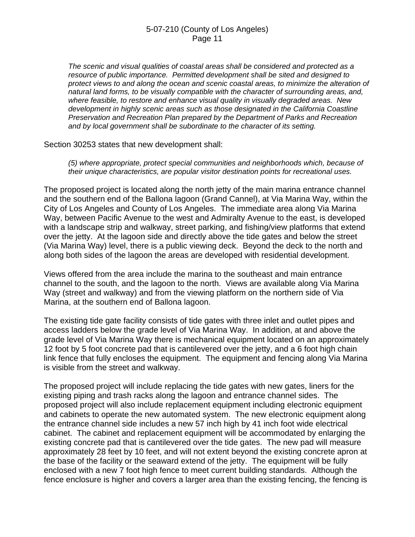*The scenic and visual qualities of coastal areas shall be considered and protected as a resource of public importance. Permitted development shall be sited and designed to protect views to and along the ocean and scenic coastal areas, to minimize the alteration of natural land forms, to be visually compatible with the character of surrounding areas, and, where feasible, to restore and enhance visual quality in visually degraded areas. New development in highly scenic areas such as those designated in the California Coastline Preservation and Recreation Plan prepared by the Department of Parks and Recreation and by local government shall be subordinate to the character of its setting.* 

Section 30253 states that new development shall:

*(5) where appropriate, protect special communities and neighborhoods which, because of their unique characteristics, are popular visitor destination points for recreational uses.* 

The proposed project is located along the north jetty of the main marina entrance channel and the southern end of the Ballona lagoon (Grand Cannel), at Via Marina Way, within the City of Los Angeles and County of Los Angeles. The immediate area along Via Marina Way, between Pacific Avenue to the west and Admiralty Avenue to the east, is developed with a landscape strip and walkway, street parking, and fishing/view platforms that extend over the jetty. At the lagoon side and directly above the tide gates and below the street (Via Marina Way) level, there is a public viewing deck. Beyond the deck to the north and along both sides of the lagoon the areas are developed with residential development.

Views offered from the area include the marina to the southeast and main entrance channel to the south, and the lagoon to the north. Views are available along Via Marina Way (street and walkway) and from the viewing platform on the northern side of Via Marina, at the southern end of Ballona lagoon.

The existing tide gate facility consists of tide gates with three inlet and outlet pipes and access ladders below the grade level of Via Marina Way. In addition, at and above the grade level of Via Marina Way there is mechanical equipment located on an approximately 12 foot by 5 foot concrete pad that is cantilevered over the jetty, and a 6 foot high chain link fence that fully encloses the equipment. The equipment and fencing along Via Marina is visible from the street and walkway.

The proposed project will include replacing the tide gates with new gates, liners for the existing piping and trash racks along the lagoon and entrance channel sides. The proposed project will also include replacement equipment including electronic equipment and cabinets to operate the new automated system. The new electronic equipment along the entrance channel side includes a new 57 inch high by 41 inch foot wide electrical cabinet. The cabinet and replacement equipment will be accommodated by enlarging the existing concrete pad that is cantilevered over the tide gates. The new pad will measure approximately 28 feet by 10 feet, and will not extent beyond the existing concrete apron at the base of the facility or the seaward extend of the jetty. The equipment will be fully enclosed with a new 7 foot high fence to meet current building standards. Although the fence enclosure is higher and covers a larger area than the existing fencing, the fencing is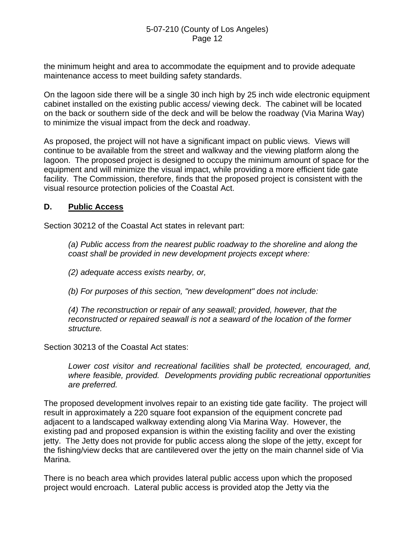the minimum height and area to accommodate the equipment and to provide adequate maintenance access to meet building safety standards.

On the lagoon side there will be a single 30 inch high by 25 inch wide electronic equipment cabinet installed on the existing public access/ viewing deck. The cabinet will be located on the back or southern side of the deck and will be below the roadway (Via Marina Way) to minimize the visual impact from the deck and roadway.

As proposed, the project will not have a significant impact on public views. Views will continue to be available from the street and walkway and the viewing platform along the lagoon. The proposed project is designed to occupy the minimum amount of space for the equipment and will minimize the visual impact, while providing a more efficient tide gate facility. The Commission, therefore, finds that the proposed project is consistent with the visual resource protection policies of the Coastal Act.

# **D. Public Access**

Section 30212 of the Coastal Act states in relevant part:

*(a) Public access from the nearest public roadway to the shoreline and along the coast shall be provided in new development projects except where:* 

*(2) adequate access exists nearby, or,* 

*(b) For purposes of this section, "new development" does not include:* 

*(4) The reconstruction or repair of any seawall; provided, however, that the reconstructed or repaired seawall is not a seaward of the location of the former structure.* 

Section 30213 of the Coastal Act states:

*Lower cost visitor and recreational facilities shall be protected, encouraged, and, where feasible, provided. Developments providing public recreational opportunities are preferred.* 

The proposed development involves repair to an existing tide gate facility. The project will result in approximately a 220 square foot expansion of the equipment concrete pad adjacent to a landscaped walkway extending along Via Marina Way. However, the existing pad and proposed expansion is within the existing facility and over the existing jetty. The Jetty does not provide for public access along the slope of the jetty, except for the fishing/view decks that are cantilevered over the jetty on the main channel side of Via Marina.

There is no beach area which provides lateral public access upon which the proposed project would encroach. Lateral public access is provided atop the Jetty via the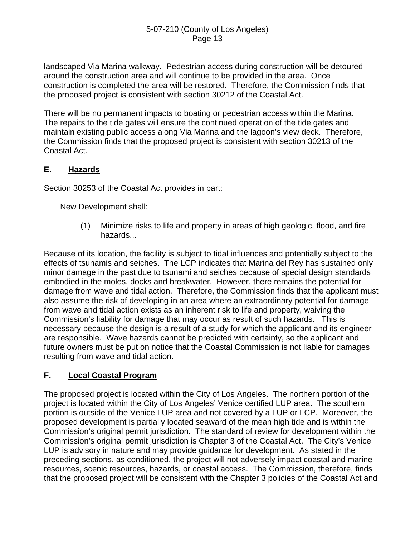landscaped Via Marina walkway. Pedestrian access during construction will be detoured around the construction area and will continue to be provided in the area. Once construction is completed the area will be restored. Therefore, the Commission finds that the proposed project is consistent with section 30212 of the Coastal Act.

There will be no permanent impacts to boating or pedestrian access within the Marina. The repairs to the tide gates will ensure the continued operation of the tide gates and maintain existing public access along Via Marina and the lagoon's view deck. Therefore, the Commission finds that the proposed project is consistent with section 30213 of the Coastal Act.

# **E. Hazards**

Section 30253 of the Coastal Act provides in part:

New Development shall:

 (1) Minimize risks to life and property in areas of high geologic, flood, and fire hazards...

Because of its location, the facility is subject to tidal influences and potentially subject to the effects of tsunamis and seiches. The LCP indicates that Marina del Rey has sustained only minor damage in the past due to tsunami and seiches because of special design standards embodied in the moles, docks and breakwater. However, there remains the potential for damage from wave and tidal action. Therefore, the Commission finds that the applicant must also assume the risk of developing in an area where an extraordinary potential for damage from wave and tidal action exists as an inherent risk to life and property, waiving the Commission's liability for damage that may occur as result of such hazards. This is necessary because the design is a result of a study for which the applicant and its engineer are responsible. Wave hazards cannot be predicted with certainty, so the applicant and future owners must be put on notice that the Coastal Commission is not liable for damages resulting from wave and tidal action.

# **F. Local Coastal Program**

The proposed project is located within the City of Los Angeles. The northern portion of the project is located within the City of Los Angeles' Venice certified LUP area. The southern portion is outside of the Venice LUP area and not covered by a LUP or LCP. Moreover, the proposed development is partially located seaward of the mean high tide and is within the Commission's original permit jurisdiction. The standard of review for development within the Commission's original permit jurisdiction is Chapter 3 of the Coastal Act. The City's Venice LUP is advisory in nature and may provide guidance for development. As stated in the preceding sections, as conditioned, the project will not adversely impact coastal and marine resources, scenic resources, hazards, or coastal access. The Commission, therefore, finds that the proposed project will be consistent with the Chapter 3 policies of the Coastal Act and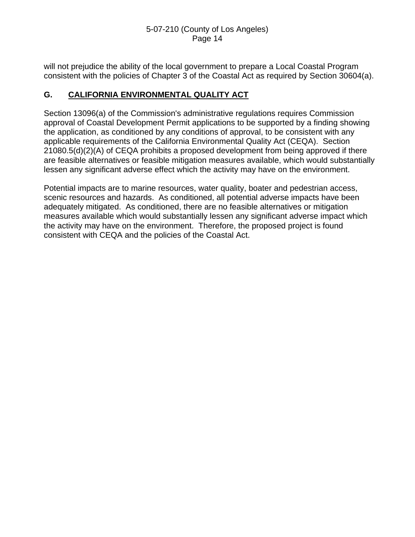will not prejudice the ability of the local government to prepare a Local Coastal Program consistent with the policies of Chapter 3 of the Coastal Act as required by Section 30604(a).

# **G. CALIFORNIA ENVIRONMENTAL QUALITY ACT**

Section 13096(a) of the Commission's administrative regulations requires Commission approval of Coastal Development Permit applications to be supported by a finding showing the application, as conditioned by any conditions of approval, to be consistent with any applicable requirements of the California Environmental Quality Act (CEQA). Section 21080.5(d)(2)(A) of CEQA prohibits a proposed development from being approved if there are feasible alternatives or feasible mitigation measures available, which would substantially lessen any significant adverse effect which the activity may have on the environment.

Potential impacts are to marine resources, water quality, boater and pedestrian access, scenic resources and hazards. As conditioned, all potential adverse impacts have been adequately mitigated. As conditioned, there are no feasible alternatives or mitigation measures available which would substantially lessen any significant adverse impact which the activity may have on the environment. Therefore, the proposed project is found consistent with CEQA and the policies of the Coastal Act.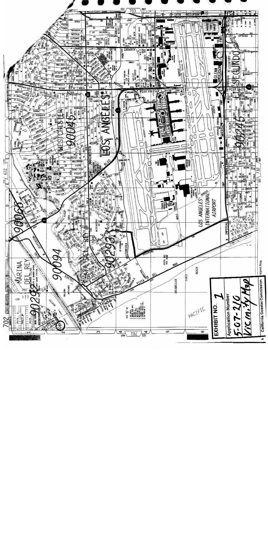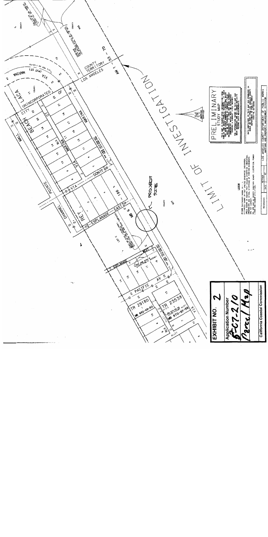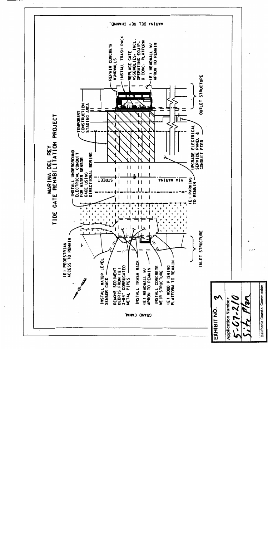